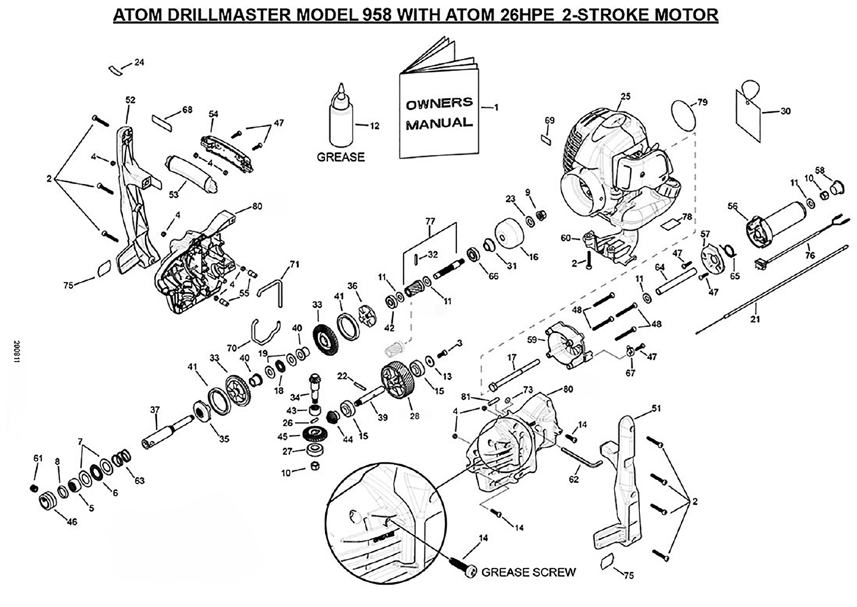## ATOM DRILLMASTER MODEL 958 WITH ATOM 26HPE 2-STROKE MOTOR